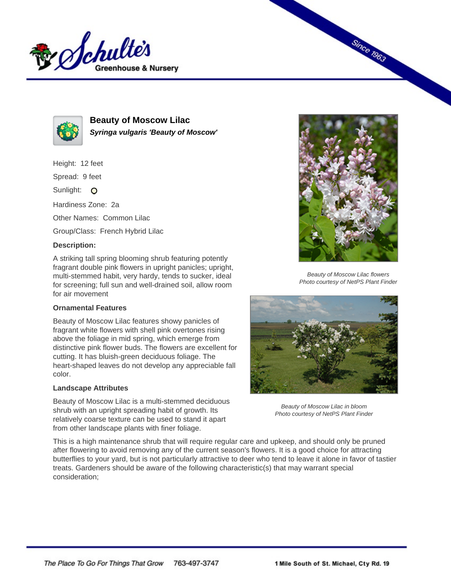



**Beauty of Moscow Lilac Syringa vulgaris 'Beauty of Moscow'**

Height: 12 feet

Spread: 9 feet

Sunlight: O

Hardiness Zone: 2a

Other Names: Common Lilac

Group/Class: French Hybrid Lilac

## **Description:**

A striking tall spring blooming shrub featuring potently fragrant double pink flowers in upright panicles; upright, multi-stemmed habit, very hardy, tends to sucker, ideal for screening; full sun and well-drained soil, allow room for air movement

## **Ornamental Features**

Beauty of Moscow Lilac features showy panicles of fragrant white flowers with shell pink overtones rising above the foliage in mid spring, which emerge from distinctive pink flower buds. The flowers are excellent for cutting. It has bluish-green deciduous foliage. The heart-shaped leaves do not develop any appreciable fall color.

## **Landscape Attributes**

Beauty of Moscow Lilac is a multi-stemmed deciduous shrub with an upright spreading habit of growth. Its relatively coarse texture can be used to stand it apart from other landscape plants with finer foliage.



**Since 1963** 

Beauty of Moscow Lilac flowers Photo courtesy of NetPS Plant Finder



Beauty of Moscow Lilac in bloom Photo courtesy of NetPS Plant Finder

This is a high maintenance shrub that will require regular care and upkeep, and should only be pruned after flowering to avoid removing any of the current season's flowers. It is a good choice for attracting butterflies to your yard, but is not particularly attractive to deer who tend to leave it alone in favor of tastier treats. Gardeners should be aware of the following characteristic(s) that may warrant special consideration;